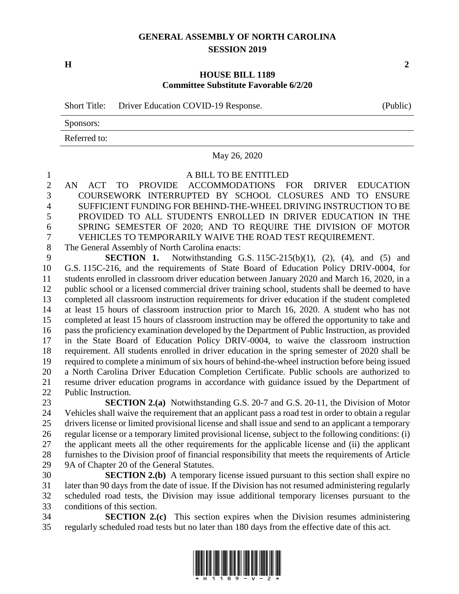## **GENERAL ASSEMBLY OF NORTH CAROLINA SESSION 2019**

**H 2**

## **HOUSE BILL 1189 Committee Substitute Favorable 6/2/20**

Short Title: Driver Education COVID-19 Response. (Public)

Sponsors:

Referred to:

May 26, 2020

A BILL TO BE ENTITLED

 AN ACT TO PROVIDE ACCOMMODATIONS FOR DRIVER EDUCATION COURSEWORK INTERRUPTED BY SCHOOL CLOSURES AND TO ENSURE SUFFICIENT FUNDING FOR BEHIND-THE-WHEEL DRIVING INSTRUCTION TO BE PROVIDED TO ALL STUDENTS ENROLLED IN DRIVER EDUCATION IN THE SPRING SEMESTER OF 2020; AND TO REQUIRE THE DIVISION OF MOTOR VEHICLES TO TEMPORARILY WAIVE THE ROAD TEST REQUIREMENT.

The General Assembly of North Carolina enacts:

 **SECTION 1.** Notwithstanding G.S. 115C-215(b)(1), (2), (4), and (5) and G.S. 115C-216, and the requirements of State Board of Education Policy DRIV-0004, for students enrolled in classroom driver education between January 2020 and March 16, 2020, in a public school or a licensed commercial driver training school, students shall be deemed to have completed all classroom instruction requirements for driver education if the student completed at least 15 hours of classroom instruction prior to March 16, 2020. A student who has not completed at least 15 hours of classroom instruction may be offered the opportunity to take and pass the proficiency examination developed by the Department of Public Instruction, as provided in the State Board of Education Policy DRIV-0004, to waive the classroom instruction requirement. All students enrolled in driver education in the spring semester of 2020 shall be required to complete a minimum of six hours of behind-the-wheel instruction before being issued a North Carolina Driver Education Completion Certificate. Public schools are authorized to resume driver education programs in accordance with guidance issued by the Department of Public Instruction.

 **SECTION 2.(a)** Notwithstanding G.S. 20-7 and G.S. 20-11, the Division of Motor Vehicles shall waive the requirement that an applicant pass a road test in order to obtain a regular drivers license or limited provisional license and shall issue and send to an applicant a temporary regular license or a temporary limited provisional license, subject to the following conditions: (i) the applicant meets all the other requirements for the applicable license and (ii) the applicant furnishes to the Division proof of financial responsibility that meets the requirements of Article 9A of Chapter 20 of the General Statutes.

 **SECTION 2.(b)** A temporary license issued pursuant to this section shall expire no later than 90 days from the date of issue. If the Division has not resumed administering regularly scheduled road tests, the Division may issue additional temporary licenses pursuant to the conditions of this section.

 **SECTION 2.(c)** This section expires when the Division resumes administering regularly scheduled road tests but no later than 180 days from the effective date of this act.